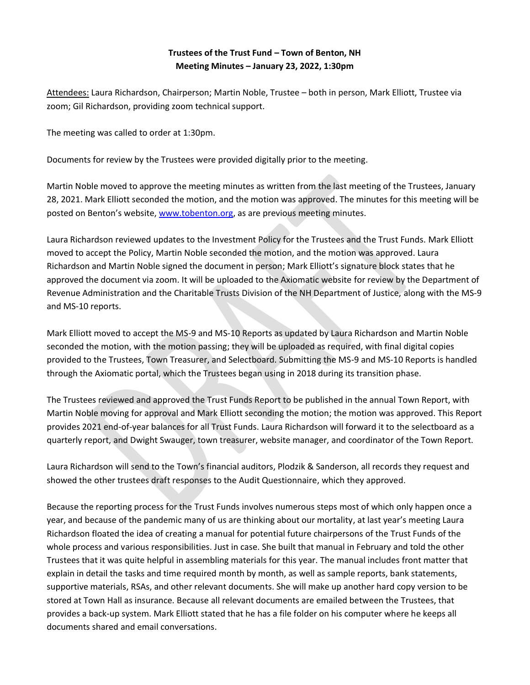## **Trustees of the Trust Fund – Town of Benton, NH Meeting Minutes – January 23, 2022, 1:30pm**

Attendees: Laura Richardson, Chairperson; Martin Noble, Trustee – both in person, Mark Elliott, Trustee via zoom; Gil Richardson, providing zoom technical support.

The meeting was called to order at 1:30pm.

Documents for review by the Trustees were provided digitally prior to the meeting.

Martin Noble moved to approve the meeting minutes as written from the last meeting of the Trustees, January 28, 2021. Mark Elliott seconded the motion, and the motion was approved. The minutes for this meeting will be posted on Benton's website, [www.tobenton.org,](http://www.tobenton.org/) as are previous meeting minutes.

Laura Richardson reviewed updates to the Investment Policy for the Trustees and the Trust Funds. Mark Elliott moved to accept the Policy, Martin Noble seconded the motion, and the motion was approved. Laura Richardson and Martin Noble signed the document in person; Mark Elliott's signature block states that he approved the document via zoom. It will be uploaded to the Axiomatic website for review by the Department of Revenue Administration and the Charitable Trusts Division of the NH Department of Justice, along with the MS-9 and MS-10 reports.

Mark Elliott moved to accept the MS-9 and MS-10 Reports as updated by Laura Richardson and Martin Noble seconded the motion, with the motion passing; they will be uploaded as required, with final digital copies provided to the Trustees, Town Treasurer, and Selectboard. Submitting the MS-9 and MS-10 Reports is handled through the Axiomatic portal, which the Trustees began using in 2018 during its transition phase.

The Trustees reviewed and approved the Trust Funds Report to be published in the annual Town Report, with Martin Noble moving for approval and Mark Elliott seconding the motion; the motion was approved. This Report provides 2021 end-of-year balances for all Trust Funds. Laura Richardson will forward it to the selectboard as a quarterly report, and Dwight Swauger, town treasurer, website manager, and coordinator of the Town Report.

Laura Richardson will send to the Town's financial auditors, Plodzik & Sanderson, all records they request and showed the other trustees draft responses to the Audit Questionnaire, which they approved.

Because the reporting process for the Trust Funds involves numerous steps most of which only happen once a year, and because of the pandemic many of us are thinking about our mortality, at last year's meeting Laura Richardson floated the idea of creating a manual for potential future chairpersons of the Trust Funds of the whole process and various responsibilities. Just in case. She built that manual in February and told the other Trustees that it was quite helpful in assembling materials for this year. The manual includes front matter that explain in detail the tasks and time required month by month, as well as sample reports, bank statements, supportive materials, RSAs, and other relevant documents. She will make up another hard copy version to be stored at Town Hall as insurance. Because all relevant documents are emailed between the Trustees, that provides a back-up system. Mark Elliott stated that he has a file folder on his computer where he keeps all documents shared and email conversations.